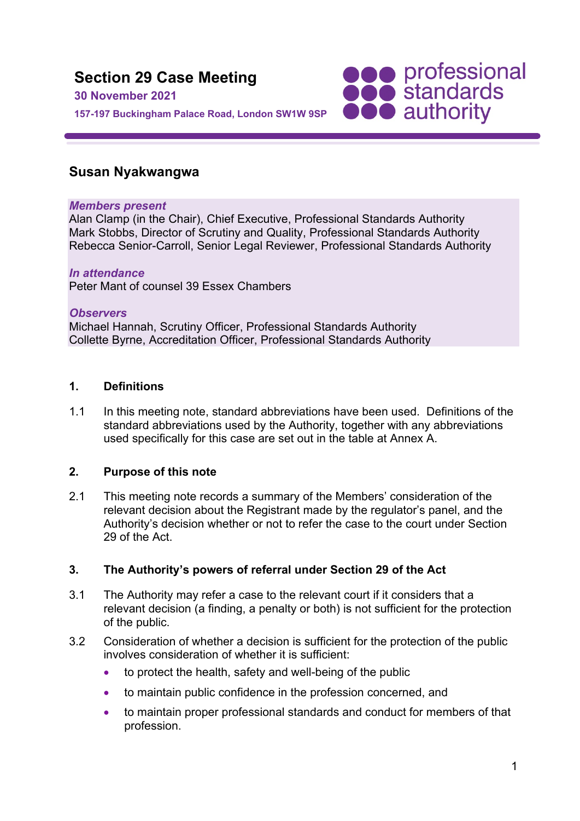

# **Susan Nyakwangwa**

### *Members present*

Alan Clamp (in the Chair), Chief Executive, Professional Standards Authority Mark Stobbs, Director of Scrutiny and Quality, Professional Standards Authority Rebecca Senior-Carroll, Senior Legal Reviewer, Professional Standards Authority

### *In attendance*

Peter Mant of counsel 39 Essex Chambers

### *Observers*

Michael Hannah, Scrutiny Officer, Professional Standards Authority Collette Byrne, Accreditation Officer, Professional Standards Authority

### **1. Definitions**

1.1 In this meeting note, standard abbreviations have been used. Definitions of the standard abbreviations used by the Authority, together with any abbreviations used specifically for this case are set out in the table at Annex A.

### **2. Purpose of this note**

2.1 This meeting note records a summary of the Members' consideration of the relevant decision about the Registrant made by the regulator's panel, and the Authority's decision whether or not to refer the case to the court under Section 29 of the Act.

# **3. The Authority's powers of referral under Section 29 of the Act**

- 3.1 The Authority may refer a case to the relevant court if it considers that a relevant decision (a finding, a penalty or both) is not sufficient for the protection of the public.
- 3.2 Consideration of whether a decision is sufficient for the protection of the public involves consideration of whether it is sufficient:
	- to protect the health, safety and well-being of the public
	- to maintain public confidence in the profession concerned, and
	- to maintain proper professional standards and conduct for members of that profession.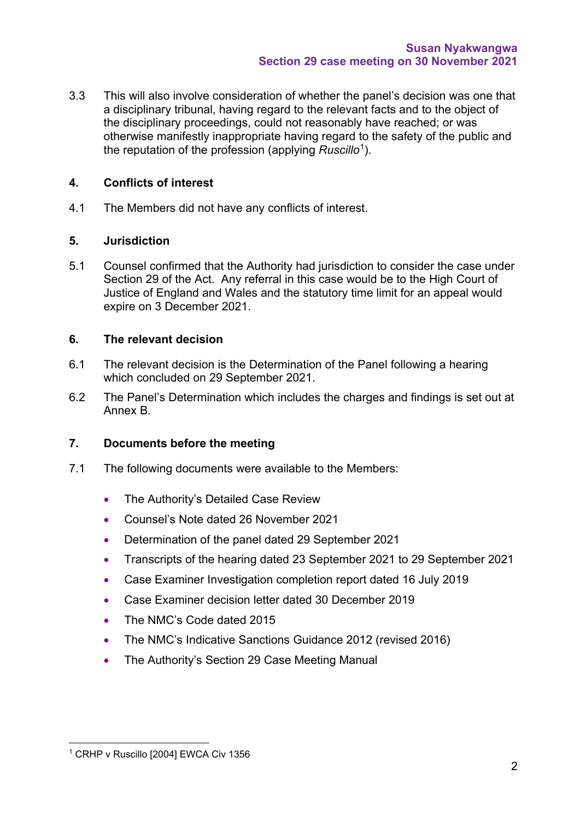3.3 This will also involve consideration of whether the panel's decision was one that a disciplinary tribunal, having regard to the relevant facts and to the object of the disciplinary proceedings, could not reasonably have reached; or was otherwise manifestly inappropriate having regard to the safety of the public and the reputation of the profession (applying *Ruscillo*[1](#page-1-0)).

# **4. Conflicts of interest**

4.1 The Members did not have any conflicts of interest.

## **5. Jurisdiction**

5.1 Counsel confirmed that the Authority had jurisdiction to consider the case under Section 29 of the Act. Any referral in this case would be to the High Court of Justice of England and Wales and the statutory time limit for an appeal would expire on 3 December 2021.

## **6. The relevant decision**

- 6.1 The relevant decision is the Determination of the Panel following a hearing which concluded on 29 September 2021.
- 6.2 The Panel's Determination which includes the charges and findings is set out at Annex B.

# **7. Documents before the meeting**

- 7.1 The following documents were available to the Members:
	- The Authority's Detailed Case Review
	- Counsel's Note dated 26 November 2021
	- Determination of the panel dated 29 September 2021
	- Transcripts of the hearing dated 23 September 2021 to 29 September 2021
	- Case Examiner Investigation completion report dated 16 July 2019
	- Case Examiner decision letter dated 30 December 2019
	- The NMC's Code dated 2015
	- The NMC's Indicative Sanctions Guidance 2012 (revised 2016)
	- The Authority's Section 29 Case Meeting Manual

<span id="page-1-0"></span><sup>1</sup> CRHP v Ruscillo [2004] EWCA Civ 1356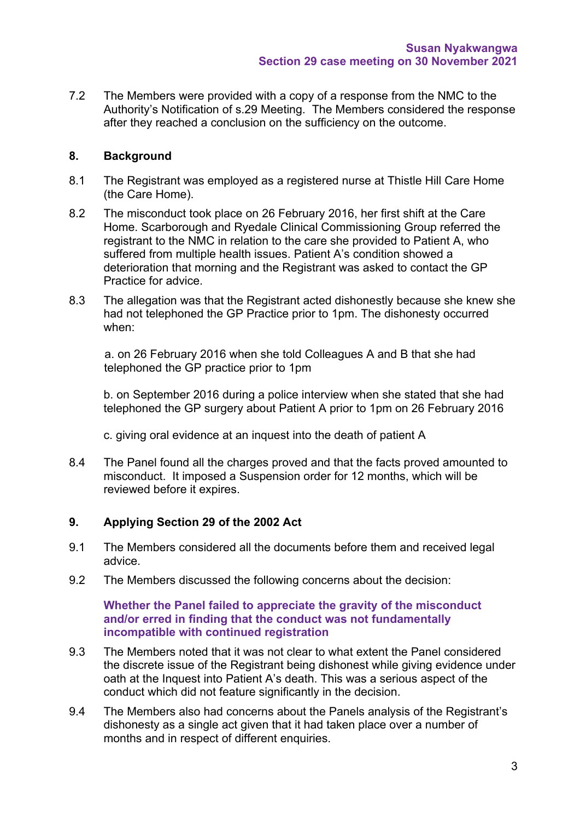7.2 The Members were provided with a copy of a response from the NMC to the Authority's Notification of s.29 Meeting. The Members considered the response after they reached a conclusion on the sufficiency on the outcome.

## **8. Background**

- 8.1 The Registrant was employed as a registered nurse at Thistle Hill Care Home (the Care Home).
- 8.2 The misconduct took place on 26 February 2016, her first shift at the Care Home. Scarborough and Ryedale Clinical Commissioning Group referred the registrant to the NMC in relation to the care she provided to Patient A, who suffered from multiple health issues. Patient A's condition showed a deterioration that morning and the Registrant was asked to contact the GP Practice for advice.
- 8.3 The allegation was that the Registrant acted dishonestly because she knew she had not telephoned the GP Practice prior to 1pm. The dishonesty occurred when:

a. on 26 February 2016 when she told Colleagues A and B that she had telephoned the GP practice prior to 1pm

b. on September 2016 during a police interview when she stated that she had telephoned the GP surgery about Patient A prior to 1pm on 26 February 2016

c. giving oral evidence at an inquest into the death of patient A

8.4 The Panel found all the charges proved and that the facts proved amounted to misconduct. It imposed a Suspension order for 12 months, which will be reviewed before it expires.

### **9. Applying Section 29 of the 2002 Act**

- 9.1 The Members considered all the documents before them and received legal advice.
- 9.2 The Members discussed the following concerns about the decision:

### **Whether the Panel failed to appreciate the gravity of the misconduct and/or erred in finding that the conduct was not fundamentally incompatible with continued registration**

- 9.3 The Members noted that it was not clear to what extent the Panel considered the discrete issue of the Registrant being dishonest while giving evidence under oath at the Inquest into Patient A's death. This was a serious aspect of the conduct which did not feature significantly in the decision.
- 9.4 The Members also had concerns about the Panels analysis of the Registrant's dishonesty as a single act given that it had taken place over a number of months and in respect of different enquiries.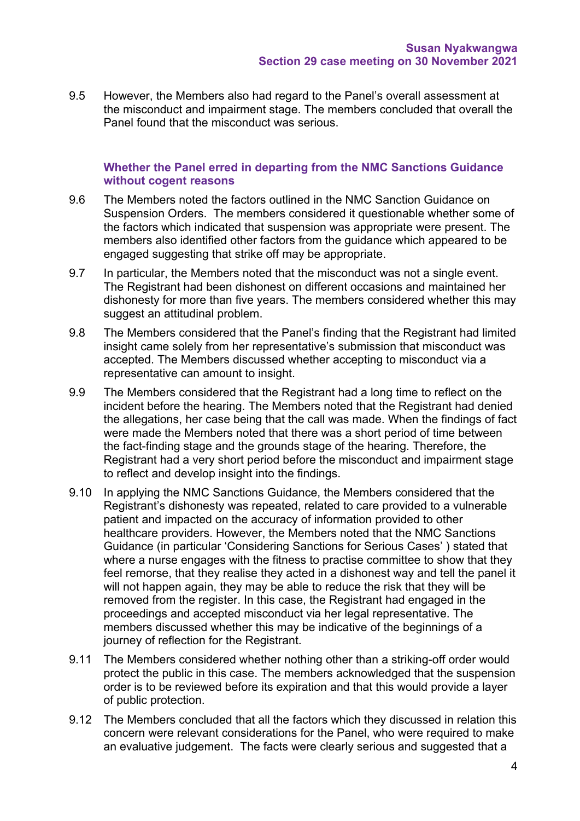9.5 However, the Members also had regard to the Panel's overall assessment at the misconduct and impairment stage. The members concluded that overall the Panel found that the misconduct was serious.

### **Whether the Panel erred in departing from the NMC Sanctions Guidance without cogent reasons**

- 9.6 The Members noted the factors outlined in the NMC Sanction Guidance on Suspension Orders. The members considered it questionable whether some of the factors which indicated that suspension was appropriate were present. The members also identified other factors from the guidance which appeared to be engaged suggesting that strike off may be appropriate.
- 9.7 In particular, the Members noted that the misconduct was not a single event. The Registrant had been dishonest on different occasions and maintained her dishonesty for more than five years. The members considered whether this may suggest an attitudinal problem.
- 9.8 The Members considered that the Panel's finding that the Registrant had limited insight came solely from her representative's submission that misconduct was accepted. The Members discussed whether accepting to misconduct via a representative can amount to insight.
- 9.9 The Members considered that the Registrant had a long time to reflect on the incident before the hearing. The Members noted that the Registrant had denied the allegations, her case being that the call was made. When the findings of fact were made the Members noted that there was a short period of time between the fact-finding stage and the grounds stage of the hearing. Therefore, the Registrant had a very short period before the misconduct and impairment stage to reflect and develop insight into the findings.
- 9.10 In applying the NMC Sanctions Guidance, the Members considered that the Registrant's dishonesty was repeated, related to care provided to a vulnerable patient and impacted on the accuracy of information provided to other healthcare providers. However, the Members noted that the NMC Sanctions Guidance (in particular 'Considering Sanctions for Serious Cases' ) stated that where a nurse engages with the fitness to practise committee to show that they feel remorse, that they realise they acted in a dishonest way and tell the panel it will not happen again, they may be able to reduce the risk that they will be removed from the register. In this case, the Registrant had engaged in the proceedings and accepted misconduct via her legal representative. The members discussed whether this may be indicative of the beginnings of a journey of reflection for the Registrant.
- 9.11 The Members considered whether nothing other than a striking-off order would protect the public in this case. The members acknowledged that the suspension order is to be reviewed before its expiration and that this would provide a layer of public protection.
- 9.12 The Members concluded that all the factors which they discussed in relation this concern were relevant considerations for the Panel, who were required to make an evaluative judgement. The facts were clearly serious and suggested that a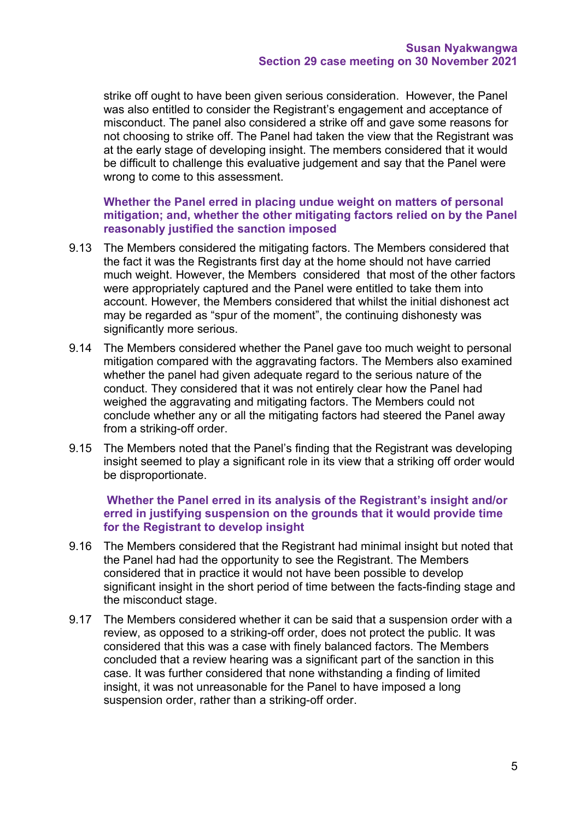strike off ought to have been given serious consideration. However, the Panel was also entitled to consider the Registrant's engagement and acceptance of misconduct. The panel also considered a strike off and gave some reasons for not choosing to strike off. The Panel had taken the view that the Registrant was at the early stage of developing insight. The members considered that it would be difficult to challenge this evaluative judgement and say that the Panel were wrong to come to this assessment.

**Whether the Panel erred in placing undue weight on matters of personal mitigation; and, whether the other mitigating factors relied on by the Panel reasonably justified the sanction imposed** 

- 9.13 The Members considered the mitigating factors. The Members considered that the fact it was the Registrants first day at the home should not have carried much weight. However, the Members considered that most of the other factors were appropriately captured and the Panel were entitled to take them into account. However, the Members considered that whilst the initial dishonest act may be regarded as "spur of the moment", the continuing dishonesty was significantly more serious.
- 9.14 The Members considered whether the Panel gave too much weight to personal mitigation compared with the aggravating factors. The Members also examined whether the panel had given adequate regard to the serious nature of the conduct. They considered that it was not entirely clear how the Panel had weighed the aggravating and mitigating factors. The Members could not conclude whether any or all the mitigating factors had steered the Panel away from a striking-off order.
- 9.15 The Members noted that the Panel's finding that the Registrant was developing insight seemed to play a significant role in its view that a striking off order would be disproportionate.

### **Whether the Panel erred in its analysis of the Registrant's insight and/or erred in justifying suspension on the grounds that it would provide time for the Registrant to develop insight**

- 9.16 The Members considered that the Registrant had minimal insight but noted that the Panel had had the opportunity to see the Registrant. The Members considered that in practice it would not have been possible to develop significant insight in the short period of time between the facts-finding stage and the misconduct stage.
- 9.17 The Members considered whether it can be said that a suspension order with a review, as opposed to a striking-off order, does not protect the public. It was considered that this was a case with finely balanced factors. The Members concluded that a review hearing was a significant part of the sanction in this case. It was further considered that none withstanding a finding of limited insight, it was not unreasonable for the Panel to have imposed a long suspension order, rather than a striking-off order.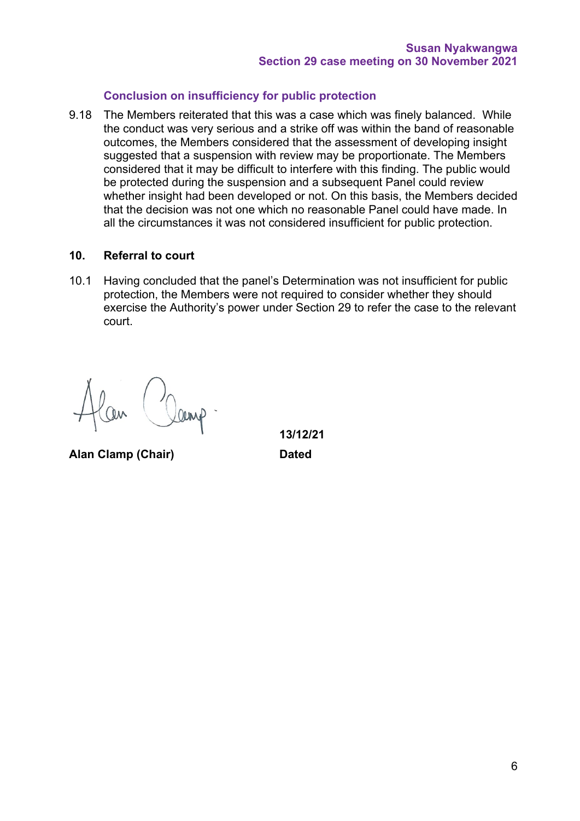## **Conclusion on insufficiency for public protection**

9.18 The Members reiterated that this was a case which was finely balanced. While the conduct was very serious and a strike off was within the band of reasonable outcomes, the Members considered that the assessment of developing insight suggested that a suspension with review may be proportionate. The Members considered that it may be difficult to interfere with this finding. The public would be protected during the suspension and a subsequent Panel could review whether insight had been developed or not. On this basis, the Members decided that the decision was not one which no reasonable Panel could have made. In all the circumstances it was not considered insufficient for public protection.

### **10. Referral to court**

10.1 Having concluded that the panel's Determination was not insufficient for public protection, the Members were not required to consider whether they should exercise the Authority's power under Section 29 to refer the case to the relevant court.

**Alan Clamp (Chair) Dated**

**13/12/21**